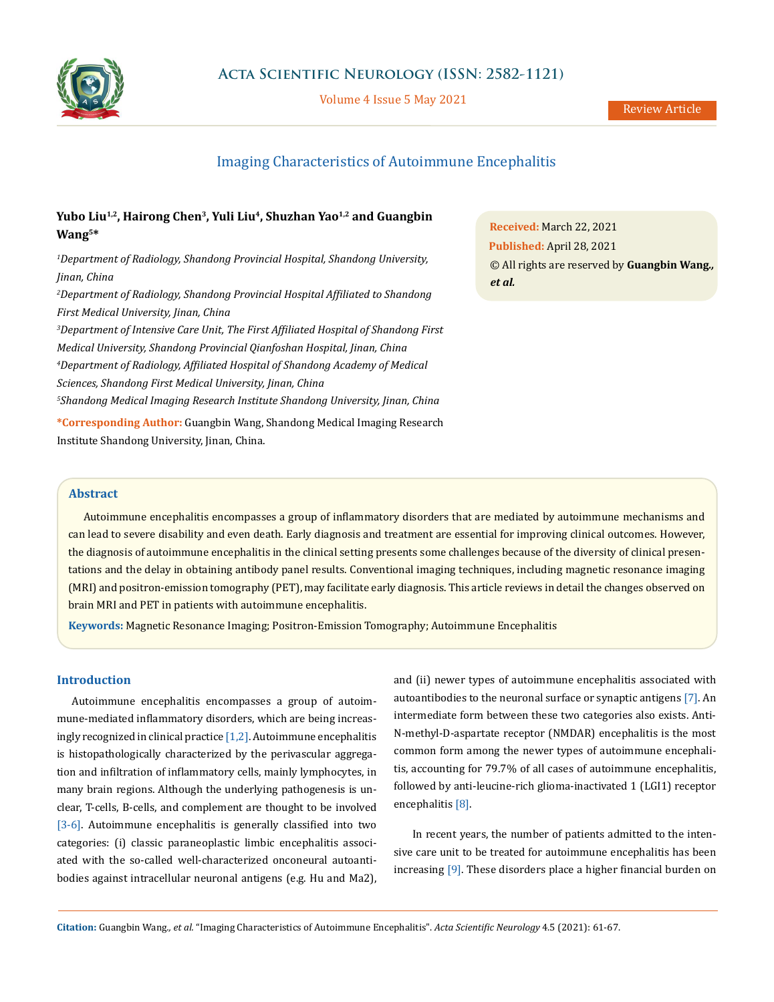

Volume 4 Issue 5 May 2021

# Imaging Characteristics of Autoimmune Encephalitis

## Yubo Liu<sup>1,2</sup>, Hairong Chen<sup>3</sup>, Yuli Liu<sup>4</sup>, Shuzhan Yao<sup>1,2</sup> and Guangbin **Wang5\***

*1 Department of Radiology, Shandong Provincial Hospital, Shandong University, Jinan, China*

*2 Department of Radiology, Shandong Provincial Hospital Affiliated to Shandong First Medical University, Jinan, China 3 Department of Intensive Care Unit, The First Affiliated Hospital of Shandong First Medical University, Shandong Provincial Qianfoshan Hospital, Jinan, China 4 Department of Radiology, Affiliated Hospital of Shandong Academy of Medical* 

*Sciences, Shandong First Medical University, Jinan, China*

*5 Shandong Medical Imaging Research Institute Shandong University, Jinan, China*

**\*Corresponding Author:** Guangbin Wang, Shandong Medical Imaging Research Institute Shandong University, Jinan, China.

**Received:** March 22, 2021 **Published:** April 28, 2021 © All rights are reserved by **Guangbin Wang***., et al.*

## **Abstract**

Autoimmune encephalitis encompasses a group of inflammatory disorders that are mediated by autoimmune mechanisms and can lead to severe disability and even death. Early diagnosis and treatment are essential for improving clinical outcomes. However, the diagnosis of autoimmune encephalitis in the clinical setting presents some challenges because of the diversity of clinical presentations and the delay in obtaining antibody panel results. Conventional imaging techniques, including magnetic resonance imaging (MRI) and positron-emission tomography (PET), may facilitate early diagnosis. This article reviews in detail the changes observed on brain MRI and PET in patients with autoimmune encephalitis.

**Keywords:** Magnetic Resonance Imaging; Positron-Emission Tomography; Autoimmune Encephalitis

## **Introduction**

Autoimmune encephalitis encompasses a group of autoimmune-mediated inflammatory disorders, which are being increasingly recognized in clinical practice [1,2]. Autoimmune encephalitis is histopathologically characterized by the perivascular aggregation and infiltration of inflammatory cells, mainly lymphocytes, in many brain regions. Although the underlying pathogenesis is unclear, T-cells, B-cells, and complement are thought to be involved [3-6]. Autoimmune encephalitis is generally classified into two categories: (i) classic paraneoplastic limbic encephalitis associated with the so-called well-characterized onconeural autoantibodies against intracellular neuronal antigens (e.g. Hu and Ma2), and (ii) newer types of autoimmune encephalitis associated with autoantibodies to the neuronal surface or synaptic antigens [7]. An intermediate form between these two categories also exists. Anti-N-methyl-D-aspartate receptor (NMDAR) encephalitis is the most common form among the newer types of autoimmune encephalitis, accounting for 79.7% of all cases of autoimmune encephalitis, followed by anti-leucine-rich glioma-inactivated 1 (LGI1) receptor encephalitis [8].

 In recent years, the number of patients admitted to the intensive care unit to be treated for autoimmune encephalitis has been increasing [9]. These disorders place a higher financial burden on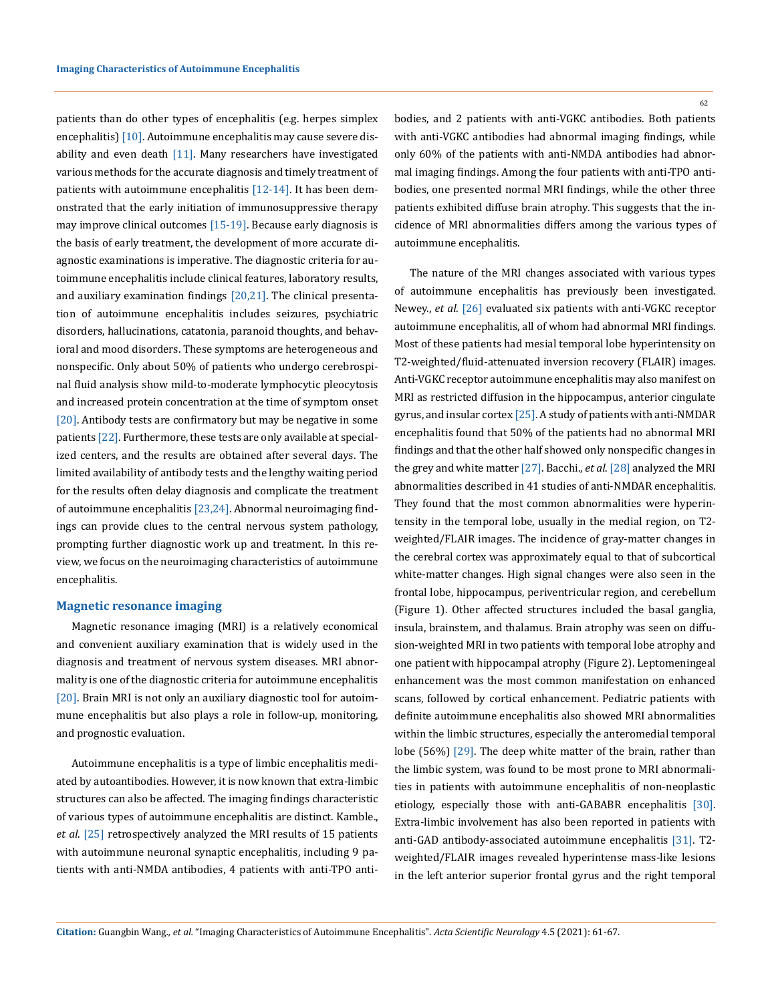patients than do other types of encephalitis (e.g. herpes simplex encephalitis) [10]. Autoimmune encephalitis may cause severe disability and even death  $[11]$ . Many researchers have investigated various methods for the accurate diagnosis and timely treatment of patients with autoimmune encephalitis [12-14]. It has been demonstrated that the early initiation of immunosuppressive therapy may improve clinical outcomes [15-19]. Because early diagnosis is the basis of early treatment, the development of more accurate diagnostic examinations is imperative. The diagnostic criteria for autoimmune encephalitis include clinical features, laboratory results, and auxiliary examination findings [20,21]. The clinical presentation of autoimmune encephalitis includes seizures, psychiatric disorders, hallucinations, catatonia, paranoid thoughts, and behavioral and mood disorders. These symptoms are heterogeneous and nonspecific. Only about 50% of patients who undergo cerebrospinal fluid analysis show mild-to-moderate lymphocytic pleocytosis and increased protein concentration at the time of symptom onset [20]. Antibody tests are confirmatory but may be negative in some patients [22]. Furthermore, these tests are only available at specialized centers, and the results are obtained after several days. The limited availability of antibody tests and the lengthy waiting period for the results often delay diagnosis and complicate the treatment of autoimmune encephalitis [23,24]. Abnormal neuroimaging findings can provide clues to the central nervous system pathology, prompting further diagnostic work up and treatment. In this review, we focus on the neuroimaging characteristics of autoimmune encephalitis.

## **Magnetic resonance imaging**

Magnetic resonance imaging (MRI) is a relatively economical and convenient auxiliary examination that is widely used in the diagnosis and treatment of nervous system diseases. MRI abnormality is one of the diagnostic criteria for autoimmune encephalitis [20]. Brain MRI is not only an auxiliary diagnostic tool for autoimmune encephalitis but also plays a role in follow-up, monitoring, and prognostic evaluation.

Autoimmune encephalitis is a type of limbic encephalitis mediated by autoantibodies. However, it is now known that extra-limbic structures can also be affected. The imaging findings characteristic of various types of autoimmune encephalitis are distinct. Kamble., *et al*. [25] retrospectively analyzed the MRI results of 15 patients with autoimmune neuronal synaptic encephalitis, including 9 patients with anti-NMDA antibodies, 4 patients with anti-TPO antibodies, and 2 patients with anti-VGKC antibodies. Both patients with anti-VGKC antibodies had abnormal imaging findings, while only 60% of the patients with anti-NMDA antibodies had abnormal imaging findings. Among the four patients with anti-TPO antibodies, one presented normal MRI findings, while the other three patients exhibited diffuse brain atrophy. This suggests that the incidence of MRI abnormalities differs among the various types of autoimmune encephalitis.

The nature of the MRI changes associated with various types of autoimmune encephalitis has previously been investigated. Newey., *et al*. [26] evaluated six patients with anti-VGKC receptor autoimmune encephalitis, all of whom had abnormal MRI findings. Most of these patients had mesial temporal lobe hyperintensity on T2-weighted/fluid-attenuated inversion recovery (FLAIR) images. Anti-VGKC receptor autoimmune encephalitis may also manifest on MRI as restricted diffusion in the hippocampus, anterior cingulate gyrus, and insular cortex [25]. A study of patients with anti-NMDAR encephalitis found that 50% of the patients had no abnormal MRI findings and that the other half showed only nonspecific changes in the grey and white matter [27]. Bacchi., *et al*. [28] analyzed the MRI abnormalities described in 41 studies of anti-NMDAR encephalitis. They found that the most common abnormalities were hyperintensity in the temporal lobe, usually in the medial region, on T2 weighted/FLAIR images. The incidence of gray-matter changes in the cerebral cortex was approximately equal to that of subcortical white-matter changes. High signal changes were also seen in the frontal lobe, hippocampus, periventricular region, and cerebellum (Figure 1). Other affected structures included the basal ganglia, insula, brainstem, and thalamus. Brain atrophy was seen on diffusion-weighted MRI in two patients with temporal lobe atrophy and one patient with hippocampal atrophy (Figure 2). Leptomeningeal enhancement was the most common manifestation on enhanced scans, followed by cortical enhancement. Pediatric patients with definite autoimmune encephalitis also showed MRI abnormalities within the limbic structures, especially the anteromedial temporal lobe (56%) [29]. The deep white matter of the brain, rather than the limbic system, was found to be most prone to MRI abnormalities in patients with autoimmune encephalitis of non-neoplastic etiology, especially those with anti-GABABR encephalitis [30]. Extra-limbic involvement has also been reported in patients with anti-GAD antibody-associated autoimmune encephalitis [31]. T2 weighted/FLAIR images revealed hyperintense mass-like lesions in the left anterior superior frontal gyrus and the right temporal

**Citation:** Guangbin Wang*., et al.* "Imaging Characteristics of Autoimmune Encephalitis". *Acta Scientific Neurology* 4.5 (2021): 61-67.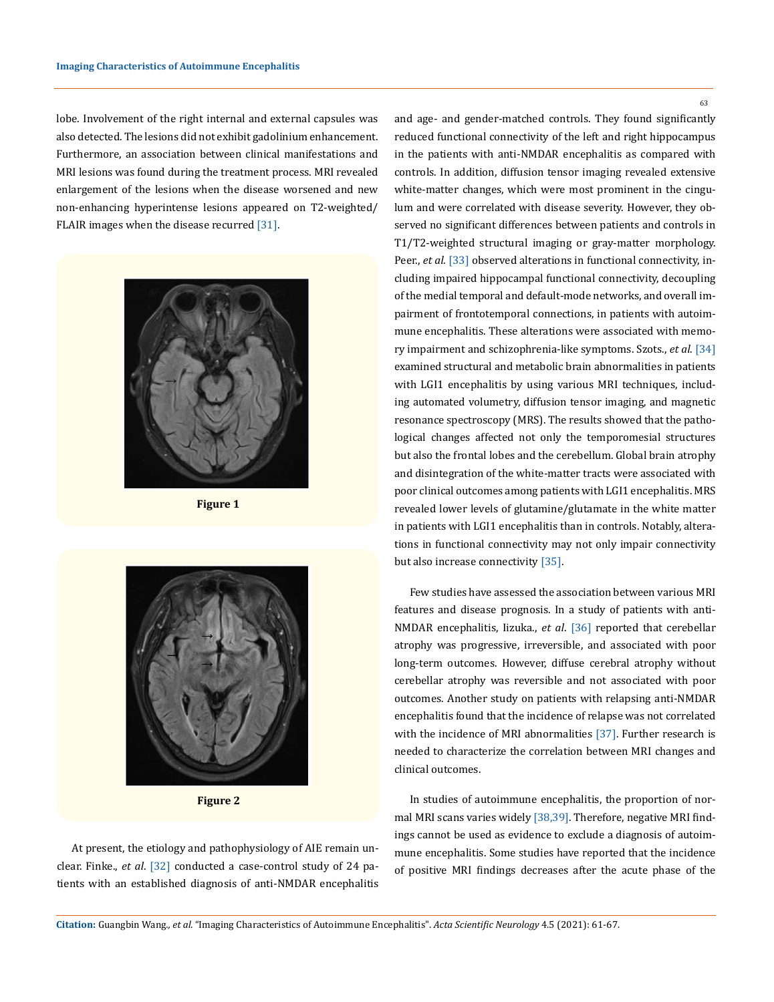lobe. Involvement of the right internal and external capsules was also detected. The lesions did not exhibit gadolinium enhancement. Furthermore, an association between clinical manifestations and MRI lesions was found during the treatment process. MRI revealed enlargement of the lesions when the disease worsened and new non-enhancing hyperintense lesions appeared on T2-weighted/ FLAIR images when the disease recurred [31].



**Figure 1**



**Figure 2**

At present, the etiology and pathophysiology of AIE remain unclear. Finke., *et al*. [32] conducted a case-control study of 24 patients with an established diagnosis of anti-NMDAR encephalitis and age- and gender-matched controls. They found significantly reduced functional connectivity of the left and right hippocampus in the patients with anti-NMDAR encephalitis as compared with controls. In addition, diffusion tensor imaging revealed extensive white-matter changes, which were most prominent in the cingulum and were correlated with disease severity. However, they observed no significant differences between patients and controls in T1/T2-weighted structural imaging or gray-matter morphology. Peer., *et al.* [33] observed alterations in functional connectivity, including impaired hippocampal functional connectivity, decoupling of the medial temporal and default-mode networks, and overall impairment of frontotemporal connections, in patients with autoimmune encephalitis. These alterations were associated with memory impairment and schizophrenia-like symptoms. Szots., *et al*. [34] examined structural and metabolic brain abnormalities in patients with LGI1 encephalitis by using various MRI techniques, including automated volumetry, diffusion tensor imaging, and magnetic resonance spectroscopy (MRS). The results showed that the pathological changes affected not only the temporomesial structures but also the frontal lobes and the cerebellum. Global brain atrophy and disintegration of the white-matter tracts were associated with poor clinical outcomes among patients with LGI1 encephalitis. MRS revealed lower levels of glutamine/glutamate in the white matter in patients with LGI1 encephalitis than in controls. Notably, alterations in functional connectivity may not only impair connectivity but also increase connectivity [35].

Few studies have assessed the association between various MRI features and disease prognosis. In a study of patients with anti-NMDAR encephalitis, Iizuka., *et al*. [36] reported that cerebellar atrophy was progressive, irreversible, and associated with poor long-term outcomes. However, diffuse cerebral atrophy without cerebellar atrophy was reversible and not associated with poor outcomes. Another study on patients with relapsing anti-NMDAR encephalitis found that the incidence of relapse was not correlated with the incidence of MRI abnormalities [37]. Further research is needed to characterize the correlation between MRI changes and clinical outcomes.

In studies of autoimmune encephalitis, the proportion of normal MRI scans varies widely [38,39]. Therefore, negative MRI findings cannot be used as evidence to exclude a diagnosis of autoimmune encephalitis. Some studies have reported that the incidence of positive MRI findings decreases after the acute phase of the

63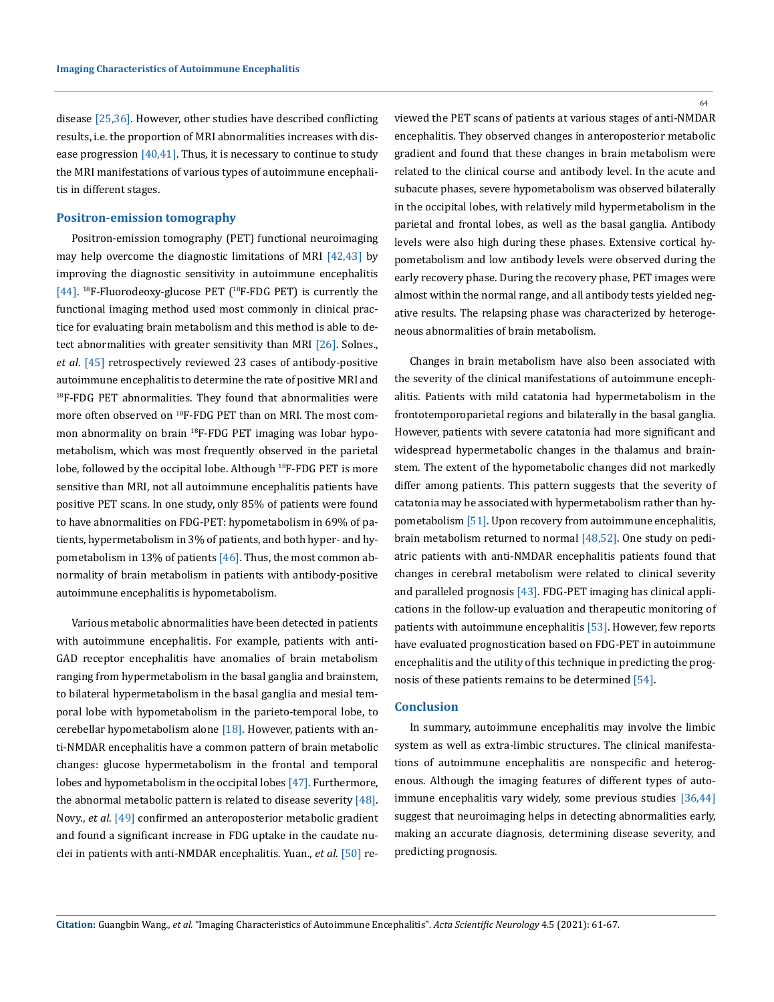disease [25,36]. However, other studies have described conflicting results, i.e. the proportion of MRI abnormalities increases with disease progression [40,41]. Thus, it is necessary to continue to study the MRI manifestations of various types of autoimmune encephalitis in different stages.

#### **Positron-emission tomography**

Positron-emission tomography (PET) functional neuroimaging may help overcome the diagnostic limitations of MRI [42,43] by improving the diagnostic sensitivity in autoimmune encephalitis [44]. <sup>18</sup>F-Fluorodeoxy-glucose PET (<sup>18</sup>F-FDG PET) is currently the functional imaging method used most commonly in clinical practice for evaluating brain metabolism and this method is able to detect abnormalities with greater sensitivity than MRI [26]. Solnes., *et al*. [45] retrospectively reviewed 23 cases of antibody-positive autoimmune encephalitis to determine the rate of positive MRI and  $18F-FDG$  PET abnormalities. They found that abnormalities were more often observed on <sup>18</sup>F-FDG PET than on MRI. The most common abnormality on brain <sup>18</sup>F-FDG PET imaging was lobar hypometabolism, which was most frequently observed in the parietal lobe, followed by the occipital lobe. Although <sup>18</sup>F-FDG PET is more sensitive than MRI, not all autoimmune encephalitis patients have positive PET scans. In one study, only 85% of patients were found to have abnormalities on FDG-PET: hypometabolism in 69% of patients, hypermetabolism in 3% of patients, and both hyper- and hypometabolism in 13% of patients  $[46]$ . Thus, the most common abnormality of brain metabolism in patients with antibody-positive autoimmune encephalitis is hypometabolism.

Various metabolic abnormalities have been detected in patients with autoimmune encephalitis. For example, patients with anti-GAD receptor encephalitis have anomalies of brain metabolism ranging from hypermetabolism in the basal ganglia and brainstem, to bilateral hypermetabolism in the basal ganglia and mesial temporal lobe with hypometabolism in the parieto-temporal lobe, to cerebellar hypometabolism alone  $[18]$ . However, patients with anti-NMDAR encephalitis have a common pattern of brain metabolic changes: glucose hypermetabolism in the frontal and temporal lobes and hypometabolism in the occipital lobes [47]. Furthermore, the abnormal metabolic pattern is related to disease severity [48]. Novy., *et al*. [49] confirmed an anteroposterior metabolic gradient and found a significant increase in FDG uptake in the caudate nuclei in patients with anti-NMDAR encephalitis. Yuan., *et al*. [50] re64

viewed the PET scans of patients at various stages of anti-NMDAR encephalitis. They observed changes in anteroposterior metabolic gradient and found that these changes in brain metabolism were related to the clinical course and antibody level. In the acute and subacute phases, severe hypometabolism was observed bilaterally in the occipital lobes, with relatively mild hypermetabolism in the parietal and frontal lobes, as well as the basal ganglia. Antibody levels were also high during these phases. Extensive cortical hypometabolism and low antibody levels were observed during the early recovery phase. During the recovery phase, PET images were almost within the normal range, and all antibody tests yielded negative results. The relapsing phase was characterized by heterogeneous abnormalities of brain metabolism.

Changes in brain metabolism have also been associated with the severity of the clinical manifestations of autoimmune encephalitis. Patients with mild catatonia had hypermetabolism in the frontotemporoparietal regions and bilaterally in the basal ganglia. However, patients with severe catatonia had more significant and widespread hypermetabolic changes in the thalamus and brainstem. The extent of the hypometabolic changes did not markedly differ among patients. This pattern suggests that the severity of catatonia may be associated with hypermetabolism rather than hypometabolism [51]. Upon recovery from autoimmune encephalitis, brain metabolism returned to normal [48,52]. One study on pediatric patients with anti-NMDAR encephalitis patients found that changes in cerebral metabolism were related to clinical severity and paralleled prognosis [43]. FDG-PET imaging has clinical applications in the follow-up evaluation and therapeutic monitoring of patients with autoimmune encephalitis [53]. However, few reports have evaluated prognostication based on FDG-PET in autoimmune encephalitis and the utility of this technique in predicting the prognosis of these patients remains to be determined [54].

#### **Conclusion**

In summary, autoimmune encephalitis may involve the limbic system as well as extra-limbic structures. The clinical manifestations of autoimmune encephalitis are nonspecific and heterogenous. Although the imaging features of different types of autoimmune encephalitis vary widely, some previous studies [36,44] suggest that neuroimaging helps in detecting abnormalities early, making an accurate diagnosis, determining disease severity, and predicting prognosis.

**Citation:** Guangbin Wang*., et al.* "Imaging Characteristics of Autoimmune Encephalitis". *Acta Scientific Neurology* 4.5 (2021): 61-67.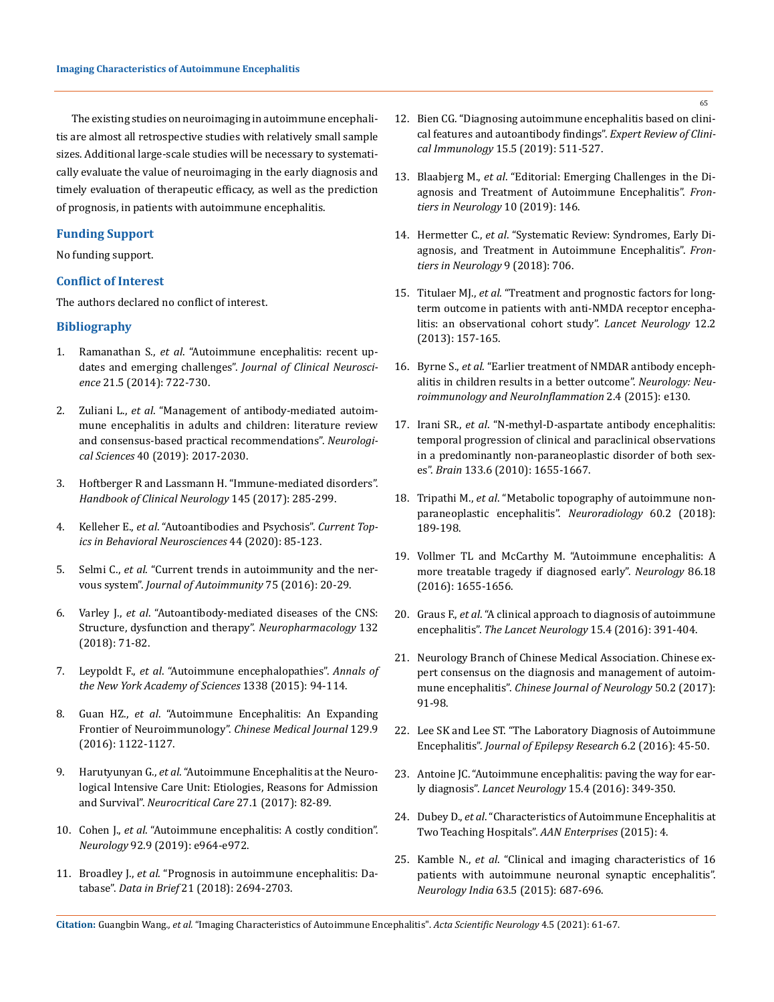The existing studies on neuroimaging in autoimmune encephalitis are almost all retrospective studies with relatively small sample sizes. Additional large-scale studies will be necessary to systematically evaluate the value of neuroimaging in the early diagnosis and timely evaluation of therapeutic efficacy, as well as the prediction of prognosis, in patients with autoimmune encephalitis.

## **Funding Support**

No funding support.

#### **Conflict of Interest**

The authors declared no conflict of interest.

## **Bibliography**

- 1. Ramanathan S., *et al*[. "Autoimmune encephalitis: recent up](https://pubmed.ncbi.nlm.nih.gov/24246947/)[dates and emerging challenges".](https://pubmed.ncbi.nlm.nih.gov/24246947/) *Journal of Clinical Neuroscience* [21.5 \(2014\): 722-730.](https://pubmed.ncbi.nlm.nih.gov/24246947/)
- 2. Zuliani L., *et al*[. "Management of antibody-mediated autoim](https://pubmed.ncbi.nlm.nih.gov/31161339/)[mune encephalitis in adults and children: literature review](https://pubmed.ncbi.nlm.nih.gov/31161339/)  [and consensus-based practical recommendations".](https://pubmed.ncbi.nlm.nih.gov/31161339/) *Neurological Sciences* [40 \(2019\): 2017-2030.](https://pubmed.ncbi.nlm.nih.gov/31161339/)
- 3. [Hoftberger R and Lassmann H. "Immune-mediated disorders".](https://pubmed.ncbi.nlm.nih.gov/28987176/)  *[Handbook of Clinical Neurology](https://pubmed.ncbi.nlm.nih.gov/28987176/)* 145 (2017): 285-299.
- 4. Kelleher E., *et al*[. "Autoantibodies and Psychosis".](https://pubmed.ncbi.nlm.nih.gov/31292938/) *Current Top[ics in Behavioral Neurosciences](https://pubmed.ncbi.nlm.nih.gov/31292938/)* 44 (2020): 85-123.
- 5. Selmi C., *et al*[. "Current trends in autoimmunity and the ner](https://www.researchgate.net/publication/306390767_Current_trends_in_autoimmunity_and_the_nervous_system)vous system". *[Journal of Autoimmunity](https://www.researchgate.net/publication/306390767_Current_trends_in_autoimmunity_and_the_nervous_system)* 75 (2016): 20-29.
- 6. Varley J., *et al*[. "Autoantibody-mediated diseases of the CNS:](https://www.sciencedirect.com/science/article/pii/S002839081730196X)  [Structure, dysfunction and therapy".](https://www.sciencedirect.com/science/article/pii/S002839081730196X) *Neuropharmacology* 132 [\(2018\): 71-82.](https://www.sciencedirect.com/science/article/pii/S002839081730196X)
- 7. Leypoldt F., *et al*[. "Autoimmune encephalopathies".](https://www.ncbi.nlm.nih.gov/pmc/articles/PMC4363225/) *Annals of [the New York Academy of Sciences](https://www.ncbi.nlm.nih.gov/pmc/articles/PMC4363225/)* 1338 (2015): 94-114.
- 8. Guan HZ., *et al*[. "Autoimmune Encephalitis: An Expanding](https://www.ncbi.nlm.nih.gov/pmc/articles/PMC4852682/)  [Frontier of Neuroimmunology".](https://www.ncbi.nlm.nih.gov/pmc/articles/PMC4852682/) *Chinese Medical Journal* 129.9 [\(2016\): 1122-1127.](https://www.ncbi.nlm.nih.gov/pmc/articles/PMC4852682/)
- 9. Harutyunyan G., *et al*[. "Autoimmune Encephalitis at the Neuro](https://pubmed.ncbi.nlm.nih.gov/28028790/)[logical Intensive Care Unit: Etiologies, Reasons for Admission](https://pubmed.ncbi.nlm.nih.gov/28028790/)  and Survival". *[Neurocritical Care](https://pubmed.ncbi.nlm.nih.gov/28028790/)* 27.1 (2017): 82-89.
- 10. Cohen J., *et al*[. "Autoimmune encephalitis: A costly condition".](https://n.neurology.org/content/autoimmune-encephalitis-cost-perspective)  *Neurology* [92.9 \(2019\): e964-e972.](https://n.neurology.org/content/autoimmune-encephalitis-cost-perspective)
- 11. Broadley J., *et al*[. "Prognosis in autoimmune encephalitis: Da](https://www.ncbi.nlm.nih.gov/pmc/articles/PMC6290378/)tabase". *Data in Brief* [21 \(2018\): 2694-2703.](https://www.ncbi.nlm.nih.gov/pmc/articles/PMC6290378/)
- 12. [Bien CG. "Diagnosing autoimmune encephalitis based on clini](https://pubmed.ncbi.nlm.nih.gov/30676128/)[cal features and autoantibody findings".](https://pubmed.ncbi.nlm.nih.gov/30676128/) *Expert Review of Clinical Immunology* [15.5 \(2019\): 511-527.](https://pubmed.ncbi.nlm.nih.gov/30676128/)
- 13. Blaabjerg M., *et al*[. "Editorial: Emerging Challenges in the Di](https://www.frontiersin.org/research-topics/6767/emerging-challenges-in-the-diagnosis-and-treatment-of-autoimmune-encephalitis)[agnosis and Treatment of Autoimmune Encephalitis".](https://www.frontiersin.org/research-topics/6767/emerging-challenges-in-the-diagnosis-and-treatment-of-autoimmune-encephalitis) *Fron[tiers in Neurology](https://www.frontiersin.org/research-topics/6767/emerging-challenges-in-the-diagnosis-and-treatment-of-autoimmune-encephalitis)* 10 (2019): 146.
- 14. Hermetter C., *et al*[. "Systematic Review: Syndromes, Early Di](https://www.ncbi.nlm.nih.gov/pmc/articles/PMC6135049/)[agnosis, and Treatment in Autoimmune Encephalitis".](https://www.ncbi.nlm.nih.gov/pmc/articles/PMC6135049/) *Fron[tiers in Neurology](https://www.ncbi.nlm.nih.gov/pmc/articles/PMC6135049/)* 9 (2018): 706.
- 15. Titulaer MJ., *et al*[. "Treatment and prognostic factors for long](https://pubmed.ncbi.nlm.nih.gov/23290630/)[term outcome in patients with anti-NMDA receptor encepha](https://pubmed.ncbi.nlm.nih.gov/23290630/)[litis: an observational cohort study".](https://pubmed.ncbi.nlm.nih.gov/23290630/) *Lancet Neurology* 12.2 [\(2013\): 157-165.](https://pubmed.ncbi.nlm.nih.gov/23290630/)
- 16. Byrne S., *et al*[. "Earlier treatment of NMDAR antibody enceph](https://www.researchgate.net/publication/280695156_Earlier_treatment_of_NMDAR_antibody_encephalitis_in_children_results_in_a_better_outcome)[alitis in children results in a better outcome".](https://www.researchgate.net/publication/280695156_Earlier_treatment_of_NMDAR_antibody_encephalitis_in_children_results_in_a_better_outcome) *Neurology: Neu[roimmunology and NeuroInflammation](https://www.researchgate.net/publication/280695156_Earlier_treatment_of_NMDAR_antibody_encephalitis_in_children_results_in_a_better_outcome)* 2.4 (2015): e130.
- 17. Irani SR., *et al*[. "N-methyl-D-aspartate antibody encephalitis:](https://pubmed.ncbi.nlm.nih.gov/20511282/)  [temporal progression of clinical and paraclinical observations](https://pubmed.ncbi.nlm.nih.gov/20511282/)  [in a predominantly non-paraneoplastic disorder of both sex](https://pubmed.ncbi.nlm.nih.gov/20511282/)es". *Brain* [133.6 \(2010\): 1655-1667.](https://pubmed.ncbi.nlm.nih.gov/20511282/)
- 18. Tripathi M., *et al*[. "Metabolic topography of autoimmune non](https://pubmed.ncbi.nlm.nih.gov/29255919/)[paraneoplastic encephalitis".](https://pubmed.ncbi.nlm.nih.gov/29255919/) *Neuroradiology* 60.2 (2018): [189-198.](https://pubmed.ncbi.nlm.nih.gov/29255919/)
- 19. [Vollmer TL and McCarthy M. "Autoimmune encephalitis: A](https://pubmed.ncbi.nlm.nih.gov/27037233/)  [more treatable tragedy if diagnosed early".](https://pubmed.ncbi.nlm.nih.gov/27037233/) *Neurology* 86.18 [\(2016\): 1655-1656.](https://pubmed.ncbi.nlm.nih.gov/27037233/)
- 20. Graus F., *et al*[. "A clinical approach to diagnosis of autoimmune](https://pubmed.ncbi.nlm.nih.gov/26906964/)  encephalitis". *[The Lancet Neurology](https://pubmed.ncbi.nlm.nih.gov/26906964/)* 15.4 (2016): 391-404.
- 21. [Neurology Branch of Chinese Medical Association. Chinese ex](https://pubmed.ncbi.nlm.nih.gov/28468084/)[pert consensus on the diagnosis and management of autoim](https://pubmed.ncbi.nlm.nih.gov/28468084/)mune encephalitis". *[Chinese Journal of Neurology](https://pubmed.ncbi.nlm.nih.gov/28468084/)* 50.2 (2017): [91-98.](https://pubmed.ncbi.nlm.nih.gov/28468084/)
- 22. [Lee SK and Lee ST. "The Laboratory Diagnosis of Autoimmune](https://www.ncbi.nlm.nih.gov/pmc/articles/PMC5206099/)  Encephalitis". *[Journal of Epilepsy Research](https://www.ncbi.nlm.nih.gov/pmc/articles/PMC5206099/)* 6.2 (2016): 45-50.
- 23. [Antoine JC. "Autoimmune encephalitis: paving the way for ear](https://pubmed.ncbi.nlm.nih.gov/26906965/)ly diagnosis". *Lancet Neurology* [15.4 \(2016\): 349-350.](https://pubmed.ncbi.nlm.nih.gov/26906965/)
- 24. Dubey D., *et al*[. "Characteristics of Autoimmune Encephalitis at](https://n.neurology.org/content/84/14_Supplement/P4.058)  [Two Teaching Hospitals".](https://n.neurology.org/content/84/14_Supplement/P4.058) *AAN Enterprises* (2015): 4.
- 25. Kamble N., *et al*[. "Clinical and imaging characteristics of 16](https://pubmed.ncbi.nlm.nih.gov/26448226/)  [patients with autoimmune neuronal synaptic encephalitis".](https://pubmed.ncbi.nlm.nih.gov/26448226/)  *Neurology India* [63.5 \(2015\): 687-696.](https://pubmed.ncbi.nlm.nih.gov/26448226/)

**Citation:** Guangbin Wang*., et al.* "Imaging Characteristics of Autoimmune Encephalitis". *Acta Scientific Neurology* 4.5 (2021): 61-67.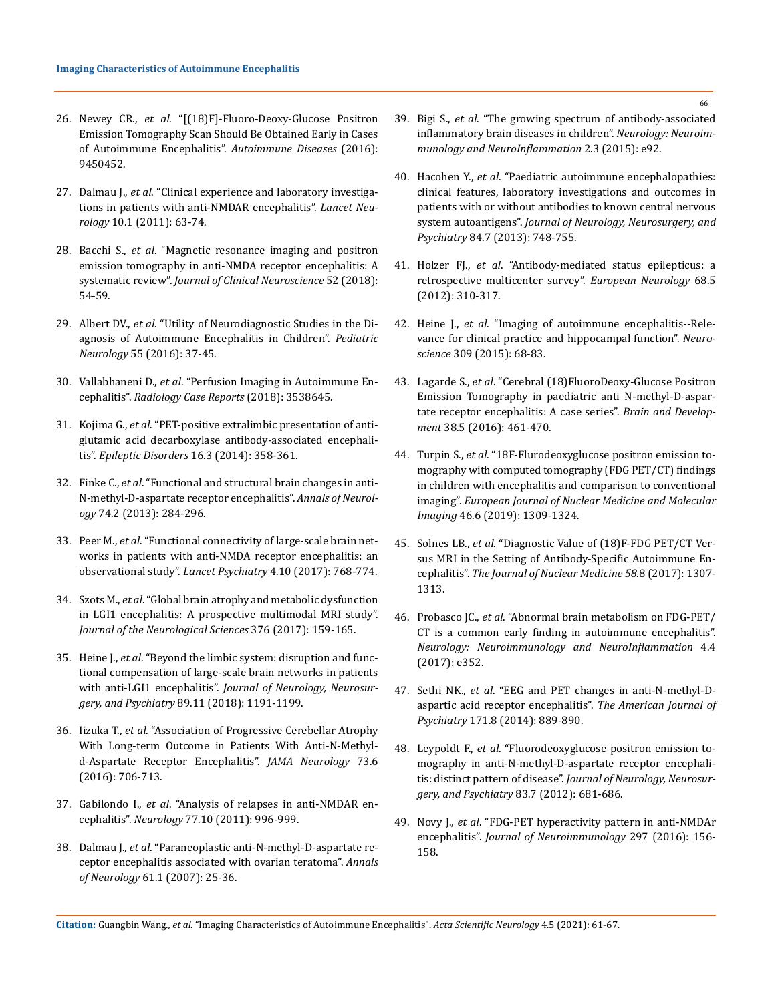- 26. Newey CR., *et al*[. "\[\(18\)F\]-Fluoro-Deoxy-Glucose Positron](https://pubmed.ncbi.nlm.nih.gov/27559482/)  [Emission Tomography Scan Should Be Obtained Early in Cases](https://pubmed.ncbi.nlm.nih.gov/27559482/)  [of Autoimmune Encephalitis".](https://pubmed.ncbi.nlm.nih.gov/27559482/) *Autoimmune Diseases* (2016): [9450452.](https://pubmed.ncbi.nlm.nih.gov/27559482/)
- 27. Dalmau J., *et al*[. "Clinical experience and laboratory investiga](https://www.semanticscholar.org/paper/Clinical-experience-and-laboratory-investigations-Dalmau-Lancaster/6187338e58a869690b35fa848f1713c6dc6d87ae)[tions in patients with anti-NMDAR encephalitis".](https://www.semanticscholar.org/paper/Clinical-experience-and-laboratory-investigations-Dalmau-Lancaster/6187338e58a869690b35fa848f1713c6dc6d87ae) *Lancet Neurology* [10.1 \(2011\): 63-74.](https://www.semanticscholar.org/paper/Clinical-experience-and-laboratory-investigations-Dalmau-Lancaster/6187338e58a869690b35fa848f1713c6dc6d87ae)
- 28. Bacchi S., *et al*[. "Magnetic resonance imaging and positron](https://pubmed.ncbi.nlm.nih.gov/29605275/)  [emission tomography in anti-NMDA receptor encephalitis: A](https://pubmed.ncbi.nlm.nih.gov/29605275/)  systematic review". *[Journal of Clinical Neuroscience](https://pubmed.ncbi.nlm.nih.gov/29605275/)* 52 (2018): [54-59.](https://pubmed.ncbi.nlm.nih.gov/29605275/)
- 29. Albert DV., *et al*[. "Utility of Neurodiagnostic Studies in the Di](https://www.sciencedirect.com/science/article/abs/pii/S0887899415302551)[agnosis of Autoimmune Encephalitis in Children".](https://www.sciencedirect.com/science/article/abs/pii/S0887899415302551) *Pediatric Neurology* [55 \(2016\): 37-45.](https://www.sciencedirect.com/science/article/abs/pii/S0887899415302551)
- 30. Vallabhaneni D., *et al*[. "Perfusion Imaging in Autoimmune En](https://pubmed.ncbi.nlm.nih.gov/29854534/)cephalitis". *[Radiology Case Reports](https://pubmed.ncbi.nlm.nih.gov/29854534/)* (2018): 3538645.
- 31. Kojima G., *et al*[. "PET-positive extralimbic presentation of anti](https://pubmed.ncbi.nlm.nih.gov/25042574/)[glutamic acid decarboxylase antibody-associated encephali](https://pubmed.ncbi.nlm.nih.gov/25042574/)tis". *[Epileptic Disorders](https://pubmed.ncbi.nlm.nih.gov/25042574/)* 16.3 (2014): 358-361.
- 32. Finke C., *et al*[. "Functional and structural brain changes in anti-](https://www.researchgate.net/publication/264517708_Functional_and_Structural_Brain_Changes_in_Anti-N-Methyl-D-Aspartate_Receptor_Encephalitis)[N-methyl-D-aspartate receptor encephalitis".](https://www.researchgate.net/publication/264517708_Functional_and_Structural_Brain_Changes_in_Anti-N-Methyl-D-Aspartate_Receptor_Encephalitis) *Annals of Neurology* [74.2 \(2013\): 284-296.](https://www.researchgate.net/publication/264517708_Functional_and_Structural_Brain_Changes_in_Anti-N-Methyl-D-Aspartate_Receptor_Encephalitis)
- 33. Peer M., *et al*[. "Functional connectivity of large-scale brain net](https://pubmed.ncbi.nlm.nih.gov/28882707/)[works in patients with anti-NMDA receptor encephalitis: an](https://pubmed.ncbi.nlm.nih.gov/28882707/)  observational study". *Lancet Psychiatry* [4.10 \(2017\): 768-774.](https://pubmed.ncbi.nlm.nih.gov/28882707/)
- 34. Szots M., *et al*[. "Global brain atrophy and metabolic dysfunction](https://pubmed.ncbi.nlm.nih.gov/28431605/)  [in LGI1 encephalitis: A prospective multimodal MRI study".](https://pubmed.ncbi.nlm.nih.gov/28431605/)  *[Journal of the Neurological Sciences](https://pubmed.ncbi.nlm.nih.gov/28431605/)* 376 (2017): 159-165.
- 35. Heine J., *et al*[. "Beyond the limbic system: disruption and func](https://www.researchgate.net/publication/325672370_Beyond_the_limbic_system_Disruption_and_functional_compensation_of_large-scale_brain_networks_in_patients_with_anti-LGI1_encephalitis)[tional compensation of large-scale brain networks in patients](https://www.researchgate.net/publication/325672370_Beyond_the_limbic_system_Disruption_and_functional_compensation_of_large-scale_brain_networks_in_patients_with_anti-LGI1_encephalitis)  with anti-LGI1 encephalitis". *[Journal of Neurology, Neurosur](https://www.researchgate.net/publication/325672370_Beyond_the_limbic_system_Disruption_and_functional_compensation_of_large-scale_brain_networks_in_patients_with_anti-LGI1_encephalitis)gery, and Psychiatry* [89.11 \(2018\): 1191-1199.](https://www.researchgate.net/publication/325672370_Beyond_the_limbic_system_Disruption_and_functional_compensation_of_large-scale_brain_networks_in_patients_with_anti-LGI1_encephalitis)
- 36. Iizuka T., *et al*[. "Association of Progressive Cerebellar Atrophy](https://www.ncbi.nlm.nih.gov/pmc/articles/PMC5018902/)  [With Long-term Outcome in Patients With Anti-N-Methyl](https://www.ncbi.nlm.nih.gov/pmc/articles/PMC5018902/)[d-Aspartate Receptor Encephalitis".](https://www.ncbi.nlm.nih.gov/pmc/articles/PMC5018902/) *JAMA Neurology* 73.6 [\(2016\): 706-713.](https://www.ncbi.nlm.nih.gov/pmc/articles/PMC5018902/)
- 37. Gabilondo I., *et al*[. "Analysis of relapses in anti-NMDAR en](https://www.researchgate.net/publication/51593962_Analysis_of_relapses_in_anti-NMDAR_encephalitis)cephalitis". *Neurology* [77.10 \(2011\): 996-999.](https://www.researchgate.net/publication/51593962_Analysis_of_relapses_in_anti-NMDAR_encephalitis)
- 38. Dalmau J., *et al*[. "Paraneoplastic anti-N-methyl-D-aspartate re](https://www.ncbi.nlm.nih.gov/pmc/articles/PMC2430743/)[ceptor encephalitis associated with ovarian teratoma".](https://www.ncbi.nlm.nih.gov/pmc/articles/PMC2430743/) *Annals of Neurology* 61.1 (2007): 25-36.
- 39. Bigi S., *et al*[. "The growing spectrum of antibody-associated](https://pubmed.ncbi.nlm.nih.gov/25909091/)  [inflammatory brain diseases in children".](https://pubmed.ncbi.nlm.nih.gov/25909091/) *Neurology: Neuroim[munology and NeuroInflammation](https://pubmed.ncbi.nlm.nih.gov/25909091/)* 2.3 (2015): e92.
- 40. Hacohen Y., *et al*[. "Paediatric autoimmune encephalopathies:](https://pubmed.ncbi.nlm.nih.gov/23175854/)  [clinical features, laboratory investigations and outcomes in](https://pubmed.ncbi.nlm.nih.gov/23175854/)  [patients with or without antibodies to known central nervous](https://pubmed.ncbi.nlm.nih.gov/23175854/)  system autoantigens". *[Journal of Neurology, Neurosurgery, and](https://pubmed.ncbi.nlm.nih.gov/23175854/)  Psychiatry* [84.7 \(2013\): 748-755.](https://pubmed.ncbi.nlm.nih.gov/23175854/)
- 41. Holzer FJ., *et al*[. "Antibody-mediated status epilepticus: a](https://pubmed.ncbi.nlm.nih.gov/23051892/)  [retrospective multicenter survey".](https://pubmed.ncbi.nlm.nih.gov/23051892/) *European Neurology* 68.5 [\(2012\): 310-317.](https://pubmed.ncbi.nlm.nih.gov/23051892/)
- 42. Heine J., *et al*[. "Imaging of autoimmune encephalitis--Rele](https://www.sciencedirect.com/science/article/abs/pii/S0306452215004790)[vance for clinical practice and hippocampal function".](https://www.sciencedirect.com/science/article/abs/pii/S0306452215004790) *Neuroscience* [309 \(2015\): 68-83.](https://www.sciencedirect.com/science/article/abs/pii/S0306452215004790)
- 43. Lagarde S., *et al*[. "Cerebral \(18\)FluoroDeoxy-Glucose Positron](https://www.sciencedirect.com/science/article/abs/pii/S0387760415002259)  [Emission Tomography in paediatric anti N-methyl-D-aspar](https://www.sciencedirect.com/science/article/abs/pii/S0387760415002259)[tate receptor encephalitis: A case series".](https://www.sciencedirect.com/science/article/abs/pii/S0387760415002259) *Brain and Development* [38.5 \(2016\): 461-470.](https://www.sciencedirect.com/science/article/abs/pii/S0387760415002259)
- 44. Turpin S., *et al*[. "18F-Flurodeoxyglucose positron emission to](https://link.springer.com/article/10.1007/s00259-019-04302-x)[mography with computed tomography \(FDG PET/CT\) findings](https://link.springer.com/article/10.1007/s00259-019-04302-x)  [in children with encephalitis and comparison to conventional](https://link.springer.com/article/10.1007/s00259-019-04302-x)  imaging". *[European Journal of Nuclear Medicine and Molecular](https://link.springer.com/article/10.1007/s00259-019-04302-x)  Imaging* [46.6 \(2019\): 1309-1324.](https://link.springer.com/article/10.1007/s00259-019-04302-x)
- 45. Solnes LB., *et al*[. "Diagnostic Value of \(18\)F-FDG PET/CT Ver](https://www.ncbi.nlm.nih.gov/pmc/articles/PMC6944181/)[sus MRI in the Setting of Antibody-Specific Autoimmune En](https://www.ncbi.nlm.nih.gov/pmc/articles/PMC6944181/)cephalitis". *[The Journal of Nuclear Medicine 58](https://www.ncbi.nlm.nih.gov/pmc/articles/PMC6944181/)*.8 (2017): 1307- [1313.](https://www.ncbi.nlm.nih.gov/pmc/articles/PMC6944181/)
- 46. Probasco JC., *et al*[. "Abnormal brain metabolism on FDG-PET/](https://pubmed.ncbi.nlm.nih.gov/28567435/) [CT is a common early finding in autoimmune encephalitis".](https://pubmed.ncbi.nlm.nih.gov/28567435/)  *[Neurology: Neuroimmunology and NeuroInflammation](https://pubmed.ncbi.nlm.nih.gov/28567435/)* 4.4 [\(2017\): e352.](https://pubmed.ncbi.nlm.nih.gov/28567435/)
- 47. Sethi NK., *et al*[. "EEG and PET changes in anti-N-methyl-D](https://pubmed.ncbi.nlm.nih.gov/25082492/)[aspartic acid receptor encephalitis".](https://pubmed.ncbi.nlm.nih.gov/25082492/) *The American Journal of Psychiatry* [171.8 \(2014\): 889-890.](https://pubmed.ncbi.nlm.nih.gov/25082492/)
- 48. Leypoldt F., *et al*[. "Fluorodeoxyglucose positron emission to](https://pubmed.ncbi.nlm.nih.gov/22566598/)[mography in anti-N-methyl-D-aspartate receptor encephali](https://pubmed.ncbi.nlm.nih.gov/22566598/)tis: distinct pattern of disease". *[Journal of Neurology, Neurosur](https://pubmed.ncbi.nlm.nih.gov/22566598/)[gery, and Psychiatry](https://pubmed.ncbi.nlm.nih.gov/22566598/)* 83.7 (2012): 681-686.
- 49. Novy J., *et al*[. "FDG-PET hyperactivity pattern in anti-NMDAr](https://pubmed.ncbi.nlm.nih.gov/27397089/)  encephalitis". *[Journal of Neuroimmunology](https://pubmed.ncbi.nlm.nih.gov/27397089/)* 297 (2016): 156- [158.](https://pubmed.ncbi.nlm.nih.gov/27397089/)

**Citation:** Guangbin Wang*., et al.* "Imaging Characteristics of Autoimmune Encephalitis". *Acta Scientific Neurology* 4.5 (2021): 61-67.